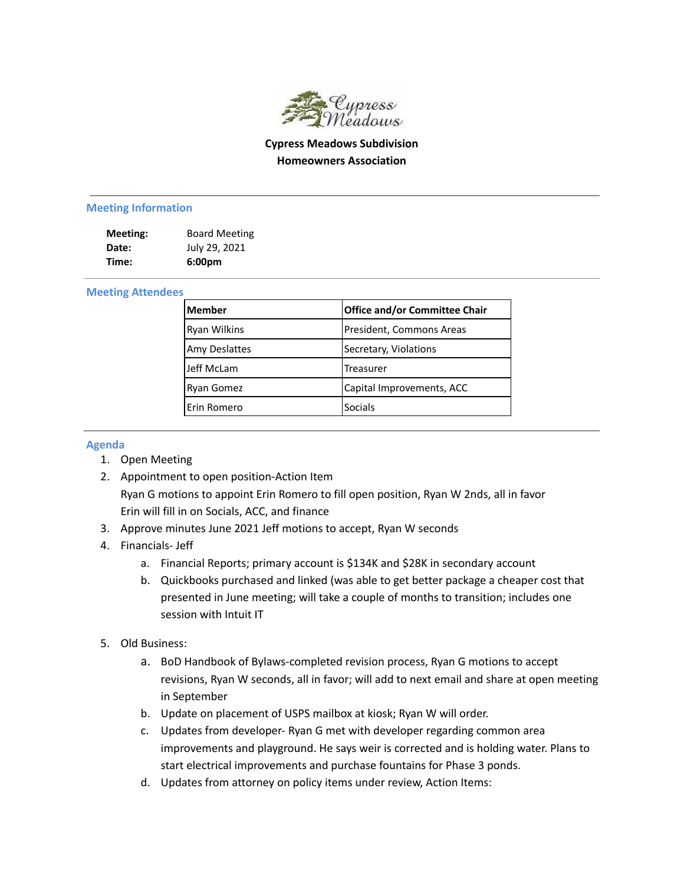

# **Cypress Meadows Subdivision Homeowners Association**

#### **Meeting Information**

| Meeting: | <b>Board Meeting</b> |
|----------|----------------------|
| Date:    | July 29, 2021        |
| Time:    | 6:00 <sub>pm</sub>   |

### **Meeting Attendees**

| <b>Member</b>        | <b>Office and/or Committee Chair</b> |
|----------------------|--------------------------------------|
| <b>Ryan Wilkins</b>  | President, Commons Areas             |
| <b>Amy Deslattes</b> | Secretary, Violations                |
| Jeff McLam           | lTreasurer                           |
| Ryan Gomez           | Capital Improvements, ACC            |
| Erin Romero          | Socials                              |

### **Agenda**

- 1. Open Meeting
- 2. Appointment to open position-Action Item Ryan G motions to appoint Erin Romero to fill open position, Ryan W 2nds, all in favor Erin will fill in on Socials, ACC, and finance
- 3. Approve minutes June 2021 Jeff motions to accept, Ryan W seconds
- 4. Financials- Jeff
	- a. Financial Reports; primary account is \$134K and \$28K in secondary account
	- b. Quickbooks purchased and linked (was able to get better package a cheaper cost that presented in June meeting; will take a couple of months to transition; includes one session with Intuit IT
- 5. Old Business:
	- a. BoD Handbook of Bylaws-completed revision process, Ryan G motions to accept revisions, Ryan W seconds, all in favor; will add to next email and share at open meeting in September
	- b. Update on placement of USPS mailbox at kiosk; Ryan W will order.
	- c. Updates from developer- Ryan G met with developer regarding common area improvements and playground. He says weir is corrected and is holding water. Plans to start electrical improvements and purchase fountains for Phase 3 ponds.
	- d. Updates from attorney on policy items under review, Action Items: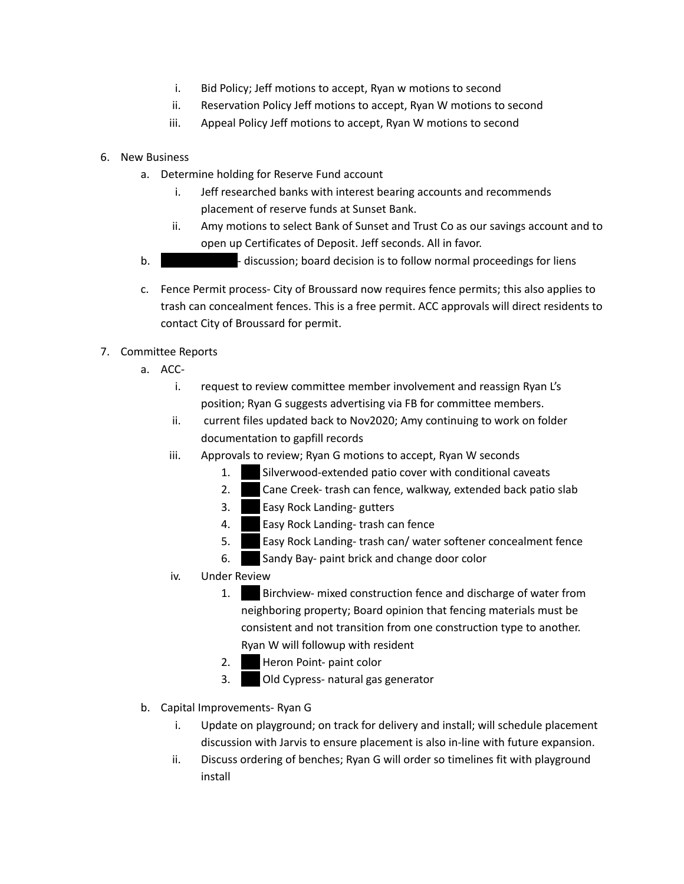- i. Bid Policy; Jeff motions to accept, Ryan w motions to second
- ii. Reservation Policy Jeff motions to accept, Ryan W motions to second
- iii. Appeal Policy Jeff motions to accept, Ryan W motions to second
- 6. New Business
	- a. Determine holding for Reserve Fund account
		- i. Jeff researched banks with interest bearing accounts and recommends placement of reserve funds at Sunset Bank.
		- ii. Amy motions to select Bank of Sunset and Trust Co as our savings account and to open up Certificates of Deposit. Jeff seconds. All in favor.
	- b. 100 Silverwood- discussion; board decision is to follow normal proceedings for liens
	- c. Fence Permit process- City of Broussard now requires fence permits; this also applies to trash can concealment fences. This is a free permit. ACC approvals will direct residents to contact City of Broussard for permit.

# 7. Committee Reports

- a. ACC
	- i. request to review committee member involvement and reassign Ryan L's position; Ryan G suggests advertising via FB for committee members.
	- ii. current files updated back to Nov2020; Amy continuing to work on folder documentation to gapfill records
	- iii. Approvals to review; Ryan G motions to accept, Ryan W seconds
		- 1. Silverwood-extended patio cover with conditional caveats
		- 2. Cane Creek- trash can fence, walkway, extended back patio slab
		- 3. **Easy Rock Landing- gutters**
		- 4. Easy Rock Landing- trash can fence
		- 5. **Easy Rock Landing- trash can/ water softener concealment fence**
		- 6. Sandy Bay- paint brick and change door color
	- iv. Under Review
		- 1. Birchview- mixed construction fence and discharge of water from neighboring property; Board opinion that fencing materials must be consistent and not transition from one construction type to another. Ryan W will followup with resident
		- 2. Heron Point- paint color
		- 3. Old Cypress- natural gas generator
- b. Capital Improvements- Ryan G
	- i. Update on playground; on track for delivery and install; will schedule placement discussion with Jarvis to ensure placement is also in-line with future expansion.
	- ii. Discuss ordering of benches; Ryan G will order so timelines fit with playground install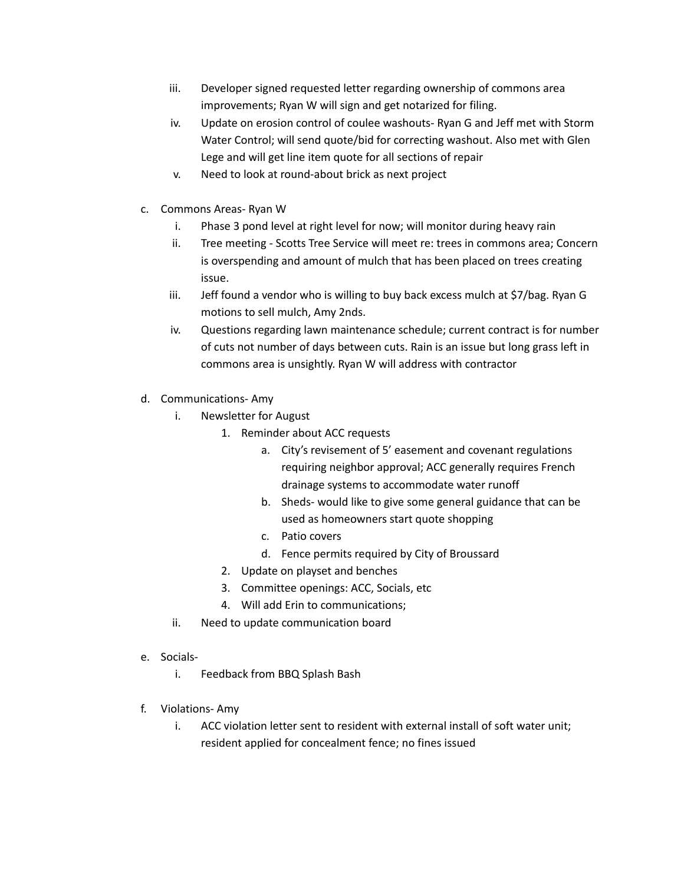- iii. Developer signed requested letter regarding ownership of commons area improvements; Ryan W will sign and get notarized for filing.
- iv. Update on erosion control of coulee washouts- Ryan G and Jeff met with Storm Water Control; will send quote/bid for correcting washout. Also met with Glen Lege and will get line item quote for all sections of repair
- v. Need to look at round-about brick as next project
- c. Commons Areas- Ryan W
	- i. Phase 3 pond level at right level for now; will monitor during heavy rain
	- ii. Tree meeting Scotts Tree Service will meet re: trees in commons area; Concern is overspending and amount of mulch that has been placed on trees creating issue.
	- iii. Jeff found a vendor who is willing to buy back excess mulch at \$7/bag. Ryan G motions to sell mulch, Amy 2nds.
	- iv. Questions regarding lawn maintenance schedule; current contract is for number of cuts not number of days between cuts. Rain is an issue but long grass left in commons area is unsightly. Ryan W will address with contractor
- d. Communications- Amy
	- i. Newsletter for August
		- 1. Reminder about ACC requests
			- a. City's revisement of 5' easement and covenant regulations requiring neighbor approval; ACC generally requires French drainage systems to accommodate water runoff
			- b. Sheds- would like to give some general guidance that can be used as homeowners start quote shopping
			- c. Patio covers
			- d. Fence permits required by City of Broussard
		- 2. Update on playset and benches
		- 3. Committee openings: ACC, Socials, etc
		- 4. Will add Erin to communications;
	- ii. Need to update communication board
- e. Socials
	- i. Feedback from BBQ Splash Bash
- f. Violations- Amy
	- i. ACC violation letter sent to resident with external install of soft water unit; resident applied for concealment fence; no fines issued